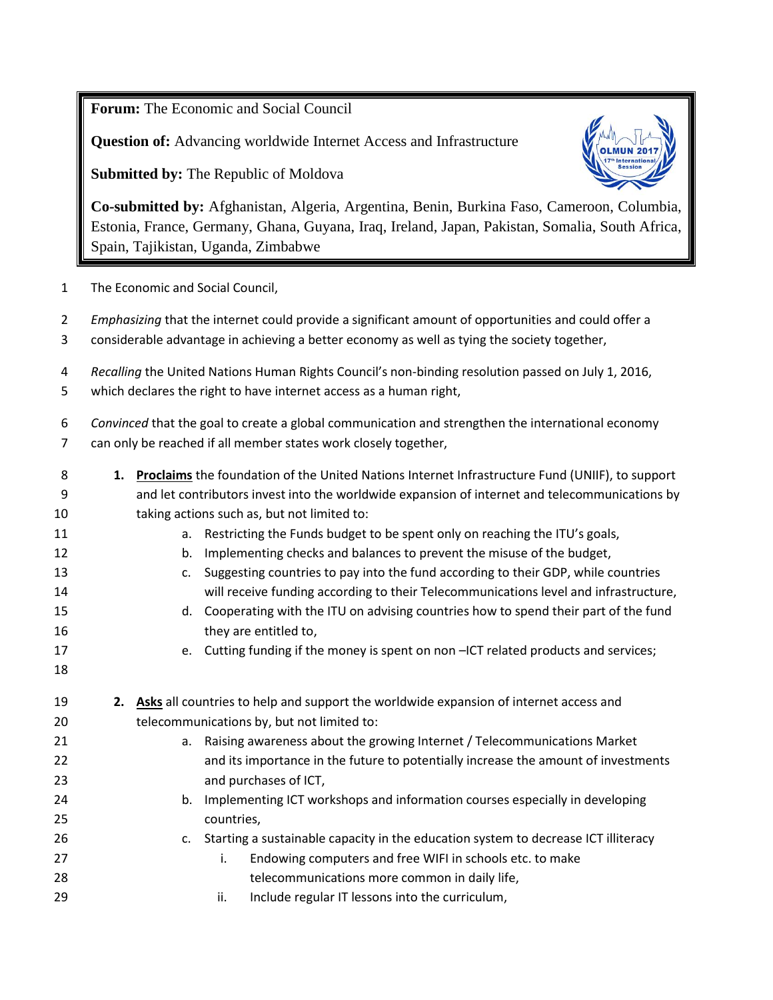**Forum:** The Economic and Social Council

**Question of:** Advancing worldwide Internet Access and Infrastructure

**Submitted by:** The Republic of Moldova



**Co-submitted by:** Afghanistan, Algeria, Argentina, Benin, Burkina Faso, Cameroon, Columbia, Estonia, France, Germany, Ghana, Guyana, Iraq, Ireland, Japan, Pakistan, Somalia, South Africa, Spain, Tajikistan, Uganda, Zimbabwe

- The Economic and Social Council,
- *Emphasizing* that the internet could provide a significant amount of opportunities and could offer a considerable advantage in achieving a better economy as well as tying the society together,
- *Recalling* the United Nations Human Rights Council's non-binding resolution passed on July 1, 2016,
- which declares the right to have internet access as a human right,
- *Convinced* that the goal to create a global communication and strengthen the international economy can only be reached if all member states work closely together,
- **1. Proclaims** the foundation of the United Nations Internet Infrastructure Fund (UNIIF), to support and let contributors invest into the worldwide expansion of internet and telecommunications by taking actions such as, but not limited to: **a.** Restricting the Funds budget to be spent only on reaching the ITU's goals, b. Implementing checks and balances to prevent the misuse of the budget, c. Suggesting countries to pay into the fund according to their GDP, while countries will receive funding according to their Telecommunications level and infrastructure, d. Cooperating with the ITU on advising countries how to spend their part of the fund 16 they are entitled to, 17 e. Cutting funding if the money is spent on non –ICT related products and services; **2. Asks** all countries to help and support the worldwide expansion of internet access and telecommunications by, but not limited to: a. Raising awareness about the growing Internet / Telecommunications Market and its importance in the future to potentially increase the amount of investments and purchases of ICT, b. Implementing ICT workshops and information courses especially in developing countries, **c.** Starting a sustainable capacity in the education system to decrease ICT illiteracy **i.** Endowing computers and free WIFI in schools etc. to make telecommunications more common in daily life, ii. Include regular IT lessons into the curriculum,